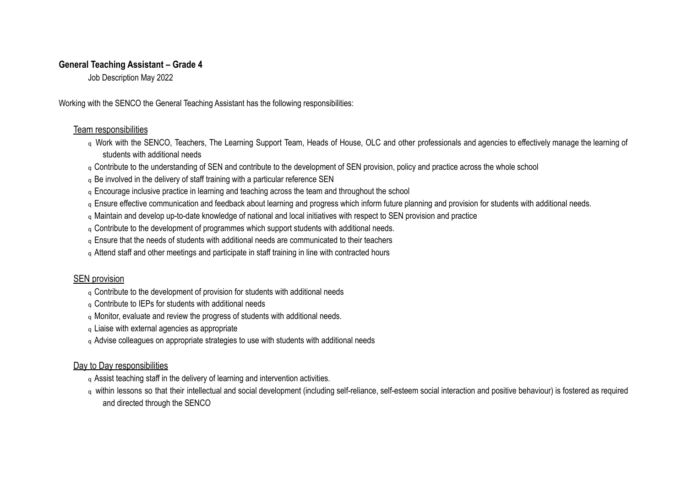### **General Teaching Assistant – Grade 4**

Job Description May 2022

Working with the SENCO the General Teaching Assistant has the following responsibilities:

## Team responsibilities

- q Work with the SENCO, Teachers, The Learning Support Team, Heads of House, OLC and other professionals and agencies to effectively manage the learning of students with additional needs
- q Contribute to the understanding of SEN and contribute to the development of SEN provision, policy and practice across the whole school
- q Be involved in the delivery of staff training with a particular reference SEN
- q Encourage inclusive practice in learning and teaching across the team and throughout the school
- q Ensure effective communication and feedback about learning and progress which inform future planning and provision for students with additional needs.
- q Maintain and develop up-to-date knowledge of national and local initiatives with respect to SEN provision and practice
- q Contribute to the development of programmes which support students with additional needs.
- q Ensure that the needs of students with additional needs are communicated to their teachers
- q Attend staff and other meetings and participate in staff training in line with contracted hours

# SEN provision

- q Contribute to the development of provision for students with additional needs
- q Contribute to IEPs for students with additional needs
- q Monitor, evaluate and review the progress of students with additional needs.
- q Liaise with external agencies as appropriate
- q Advise colleagues on appropriate strategies to use with students with additional needs

# Day to Day responsibilities

- q Assist teaching staff in the delivery of learning and intervention activities.
- q within lessons so that their intellectual and social development (including self-reliance, self-esteem social interaction and positive behaviour) is fostered as required and directed through the SENCO